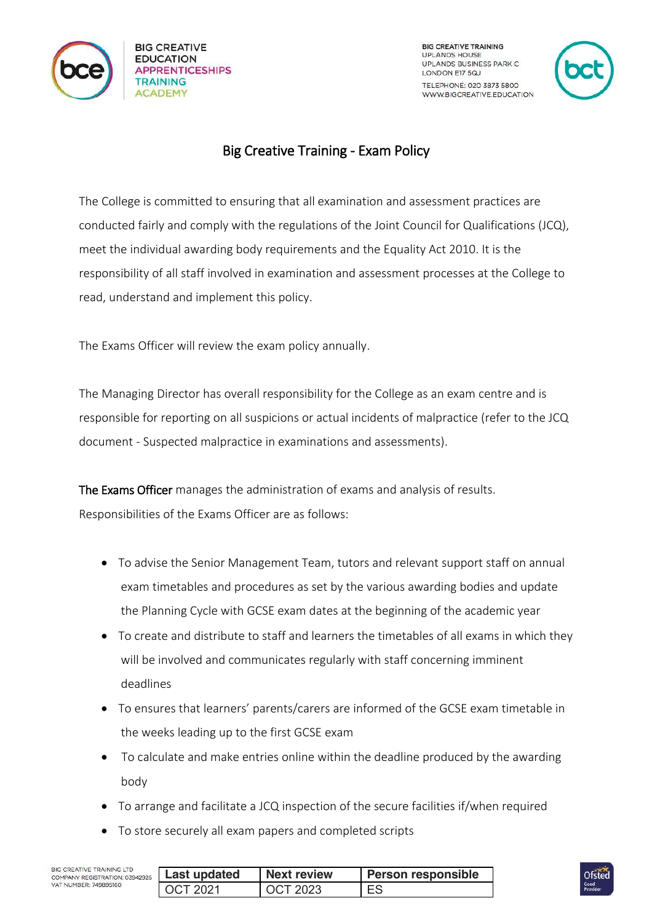



# Big Creative Training - Exam Policy

The College is committed to ensuring that all examination and assessment practices are conducted fairly and comply with the regulations of the Joint Council for Qualifications (JCQ), meet the individual awarding body requirements and the Equality Act 2010. It is the responsibility of all staff involved in examination and assessment processes at the College to read, understand and implement this policy.

The Exams Officer will review the exam policy annually.

The Managing Director has overall responsibility for the College as an exam centre and is responsible for reporting on all suspicions or actual incidents of malpractice (refer to the JCQ document - Suspected malpractice in examinations and assessments).

The Exams Officer manages the administration of exams and analysis of results. Responsibilities of the Exams Officer are as follows:

- To advise the Senior Management Team, tutors and relevant support staff on annual exam timetables and procedures as set by the various awarding bodies and update the Planning Cycle with GCSE exam dates at the beginning of the academic year
- To create and distribute to staff and learners the timetables of all exams in which they will be involved and communicates regularly with staff concerning imminent deadlines
- To ensures that learners' parents/carers are informed of the GCSE exam timetable in the weeks leading up to the first GCSE exam
- To calculate and make entries online within the deadline produced by the awarding body
- To arrange and facilitate a JCQ inspection of the secure facilities if/when required
- To store securely all exam papers and completed scripts

| IG CREATIVE TRAINING LTD<br>OMPANY REGISTRATION: 03942925 | <b>Last updated</b> | <b>Next review</b> | <b>Person responsible</b> |
|-----------------------------------------------------------|---------------------|--------------------|---------------------------|
| AT NUMBER: 749895160                                      | OCT 2021            | <b>OCT 2023</b>    | FS                        |

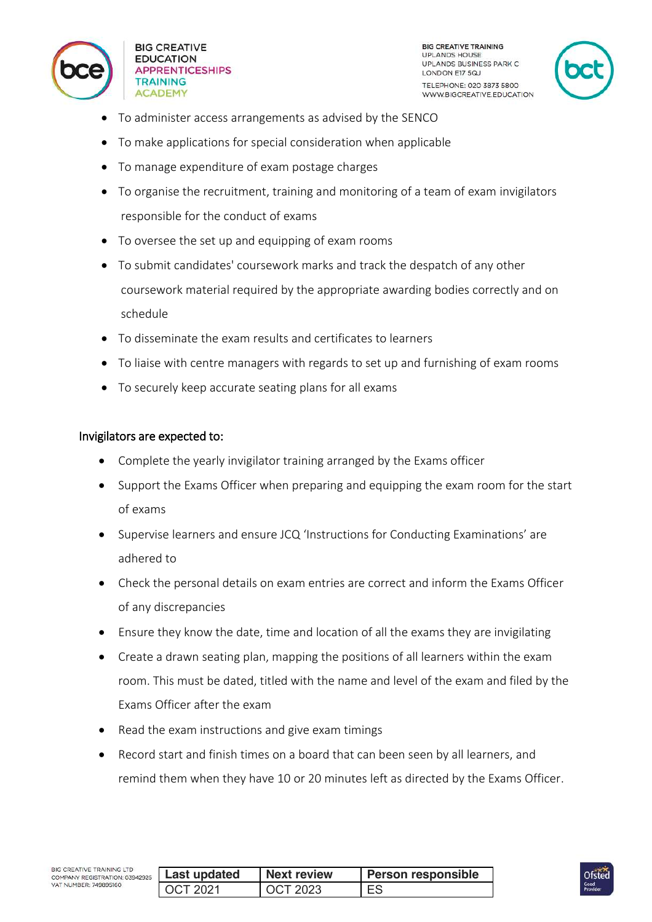



- To administer access arrangements as advised by the SENCO
- To make applications for special consideration when applicable
- To manage expenditure of exam postage charges
- To organise the recruitment, training and monitoring of a team of exam invigilators responsible for the conduct of exams
- To oversee the set up and equipping of exam rooms
- To submit candidates' coursework marks and track the despatch of any other coursework material required by the appropriate awarding bodies correctly and on schedule
- To disseminate the exam results and certificates to learners
- To liaise with centre managers with regards to set up and furnishing of exam rooms
- To securely keep accurate seating plans for all exams

#### Invigilators are expected to:

BIG

CON VAT

- Complete the yearly invigilator training arranged by the Exams officer
- Support the Exams Officer when preparing and equipping the exam room for the start of exams
- Supervise learners and ensure JCQ 'Instructions for Conducting Examinations' are adhered to
- Check the personal details on exam entries are correct and inform the Exams Officer of any discrepancies
- $\bullet$  Ensure they know the date, time and location of all the exams they are invigilating
- Create a drawn seating plan, mapping the positions of all learners within the exam room. This must be dated, titled with the name and level of the exam and filed by the Exams Officer after the exam
- Read the exam instructions and give exam timings
- Record start and finish times on a board that can been seen by all learners, and remind them when they have 10 or 20 minutes left as directed by the Exams Officer.

| CREATIVE TRAINING LTD<br>PANY REGISTRATION: 03942925 | Last updated | <b>Next review</b> | <b>Person responsible</b> |
|------------------------------------------------------|--------------|--------------------|---------------------------|
| NUMBER: 749895160                                    | OCT 2021     | OCT 2023           | ES                        |

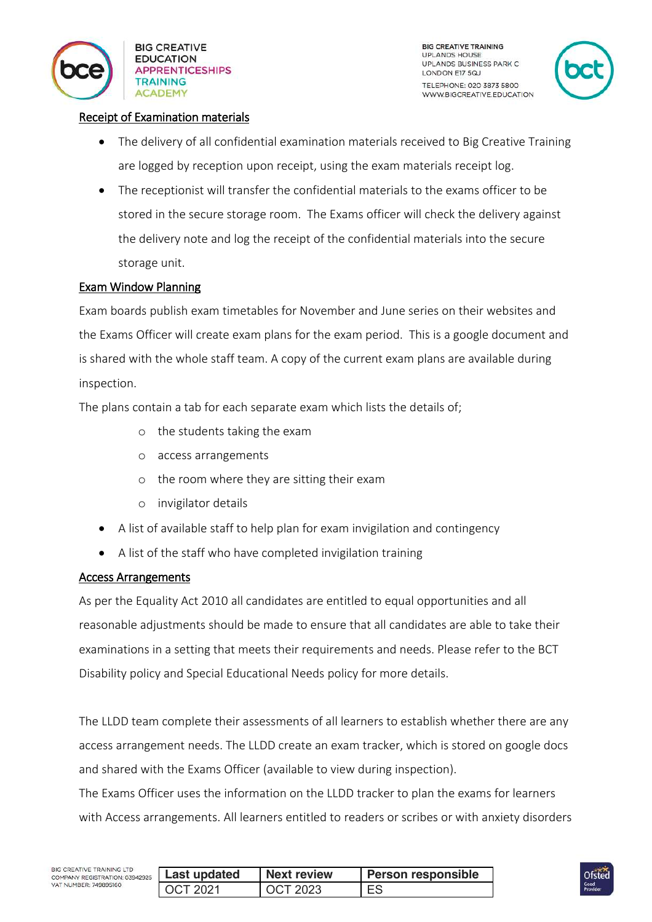



#### Receipt of Examination materials

- The delivery of all confidential examination materials received to Big Creative Training are logged by reception upon receipt, using the exam materials receipt log.
- The receptionist will transfer the confidential materials to the exams officer to be stored in the secure storage room. The Exams officer will check the delivery against the delivery note and log the receipt of the confidential materials into the secure storage unit.

### Exam Window Planning

Exam boards publish exam timetables for November and June series on their websites and the Exams Officer will create exam plans for the exam period. This is a google document and is shared with the whole staff team. A copy of the current exam plans are available during inspection.

The plans contain a tab for each separate exam which lists the details of;

- o the students taking the exam
- o access arrangements
- o the room where they are sitting their exam
- o invigilator details
- A list of available staff to help plan for exam invigilation and contingency
- A list of the staff who have completed invigilation training

### Access Arrangements

As per the Equality Act 2010 all candidates are entitled to equal opportunities and all reasonable adjustments should be made to ensure that all candidates are able to take their examinations in a setting that meets their requirements and needs. Please refer to the BCT Disability policy and Special Educational Needs policy for more details.

The LLDD team complete their assessments of all learners to establish whether there are any access arrangement needs. The LLDD create an exam tracker, which is stored on google docs and shared with the Exams Officer (available to view during inspection).

The Exams Officer uses the information on the LLDD tracker to plan the exams for learners with Access arrangements. All learners entitled to readers or scribes or with anxiety disorders

| 2925 | <b>Last updated</b>     | <b>Next review</b> | <b>Person responsible</b> |
|------|-------------------------|--------------------|---------------------------|
|      | $\overline{1}$ OCT 2021 | OCT 2023           | FS.                       |

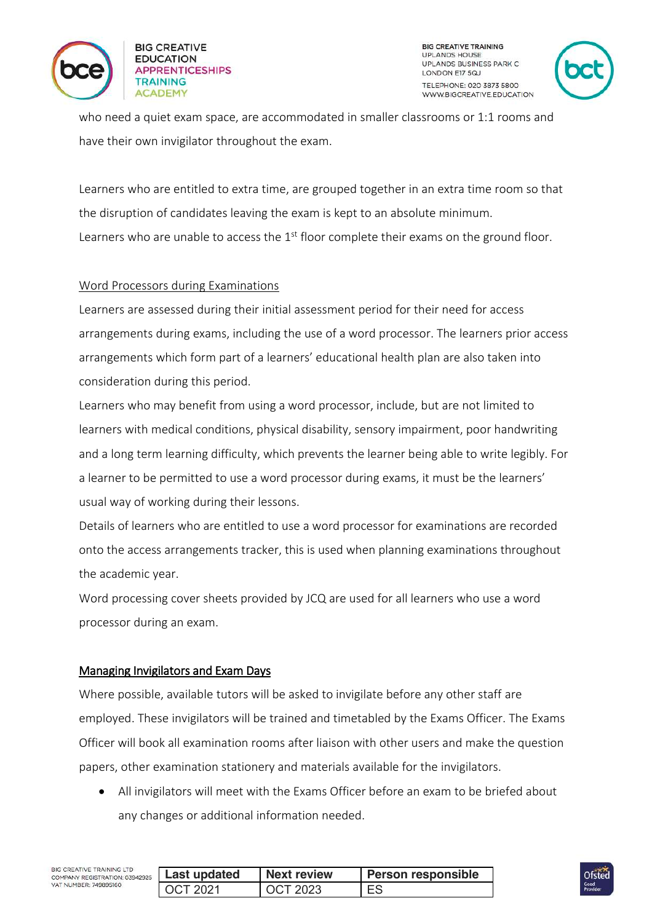





who need a quiet exam space, are accommodated in smaller classrooms or 1:1 rooms and have their own invigilator throughout the exam.

Learners who are entitled to extra time, are grouped together in an extra time room so that the disruption of candidates leaving the exam is kept to an absolute minimum. Learners who are unable to access the  $1<sup>st</sup>$  floor complete their exams on the ground floor.

## Word Processors during Examinations

Learners are assessed during their initial assessment period for their need for access arrangements during exams, including the use of a word processor. The learners prior access arrangements which form part of a learners' educational health plan are also taken into consideration during this period.

Learners who may benefit from using a word processor, include, but are not limited to learners with medical conditions, physical disability, sensory impairment, poor handwriting and a long term learning difficulty, which prevents the learner being able to write legibly. For a learner to be permitted to use a word processor during exams, it must be the learners' usual way of working during their lessons.

Details of learners who are entitled to use a word processor for examinations are recorded onto the access arrangements tracker, this is used when planning examinations throughout the academic year.

Word processing cover sheets provided by JCQ are used for all learners who use a word processor during an exam.

## Managing Invigilators and Exam Days

Where possible, available tutors will be asked to invigilate before any other staff are employed. These invigilators will be trained and timetabled by the Exams Officer. The Exams Officer will book all examination rooms after liaison with other users and make the question papers, other examination stationery and materials available for the invigilators.

• All invigilators will meet with the Exams Officer before an exam to be briefed about any changes or additional information needed.

| BIG CREATIVE TRAINING LTD<br>COMPANY REGISTRATION: 03942925 | <b>Last updated</b> | <b>Next review</b> | <b>Person responsible</b> |
|-------------------------------------------------------------|---------------------|--------------------|---------------------------|
| VAT NUMBER: 749895160                                       | <b>OCT 2021</b>     | OCT 2023           | ES                        |

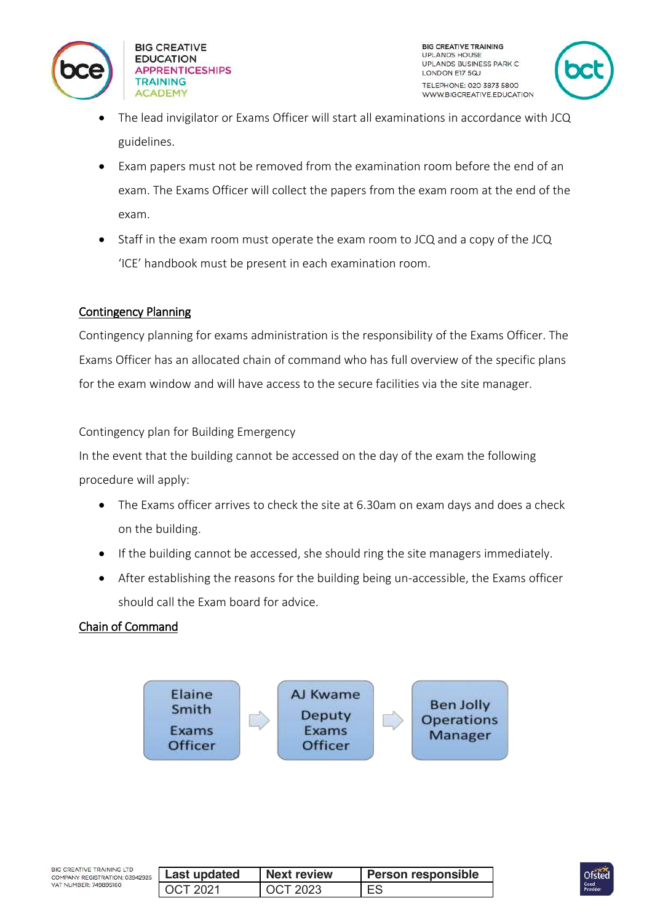





- The lead invigilator or Exams Officer will start all examinations in accordance with JCQ guidelines.
- Exam papers must not be removed from the examination room before the end of an exam. The Exams Officer will collect the papers from the exam room at the end of the exam.
- Staff in the exam room must operate the exam room to JCQ and a copy of the JCQ 'ICE' handbook must be present in each examination room.

## Contingency Planning

Contingency planning for exams administration is the responsibility of the Exams Officer. The Exams Officer has an allocated chain of command who has full overview of the specific plans for the exam window and will have access to the secure facilities via the site manager.

### Contingency plan for Building Emergency

In the event that the building cannot be accessed on the day of the exam the following procedure will apply:

- The Exams officer arrives to check the site at 6.30am on exam days and does a check on the building.
- If the building cannot be accessed, she should ring the site managers immediately.
- After establishing the reasons for the building being un-accessible, the Exams officer should call the Exam board for advice.

### Chain of Command



| BIG CREATIVE TRAINING LTD<br>COMPANY REGISTRATION: 03942925 | Last updated | <b>Next review</b> | <b>Person responsible</b> |
|-------------------------------------------------------------|--------------|--------------------|---------------------------|
| VAT NUMBER: 749895160                                       | OCT 2021     | OCT 2023           | ES                        |

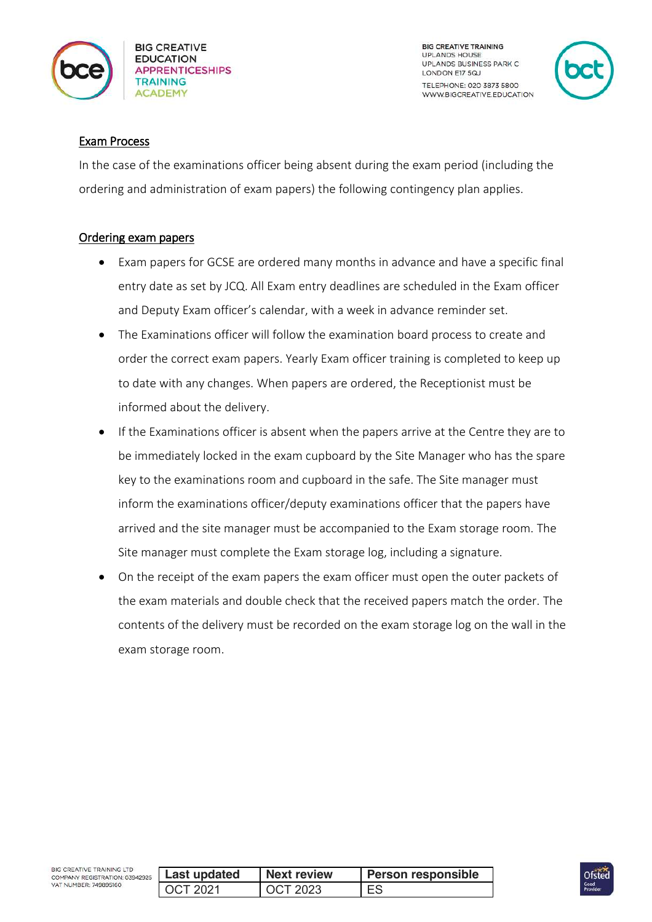



### Exam Process

In the case of the examinations officer being absent during the exam period (including the ordering and administration of exam papers) the following contingency plan applies.

### Ordering exam papers

- Exam papers for GCSE are ordered many months in advance and have a specific final entry date as set by JCQ. All Exam entry deadlines are scheduled in the Exam officer and Deputy Exam officer's calendar, with a week in advance reminder set.
- The Examinations officer will follow the examination board process to create and order the correct exam papers. Yearly Exam officer training is completed to keep up to date with any changes. When papers are ordered, the Receptionist must be informed about the delivery.
- If the Examinations officer is absent when the papers arrive at the Centre they are to be immediately locked in the exam cupboard by the Site Manager who has the spare key to the examinations room and cupboard in the safe. The Site manager must inform the examinations officer/deputy examinations officer that the papers have arrived and the site manager must be accompanied to the Exam storage room. The Site manager must complete the Exam storage log, including a signature.
- On the receipt of the exam papers the exam officer must open the outer packets of the exam materials and double check that the received papers match the order. The contents of the delivery must be recorded on the exam storage log on the wall in the exam storage room.

| BIG CREATIVE TRAINING LTD<br>COMPANY REGISTRATION: 03942925 | Last updated | <b>Next review</b> | <b>Person responsible</b> |
|-------------------------------------------------------------|--------------|--------------------|---------------------------|
| VAT NUMBER: 749895160                                       | OCT 2021     | OCT 2023           | ES                        |

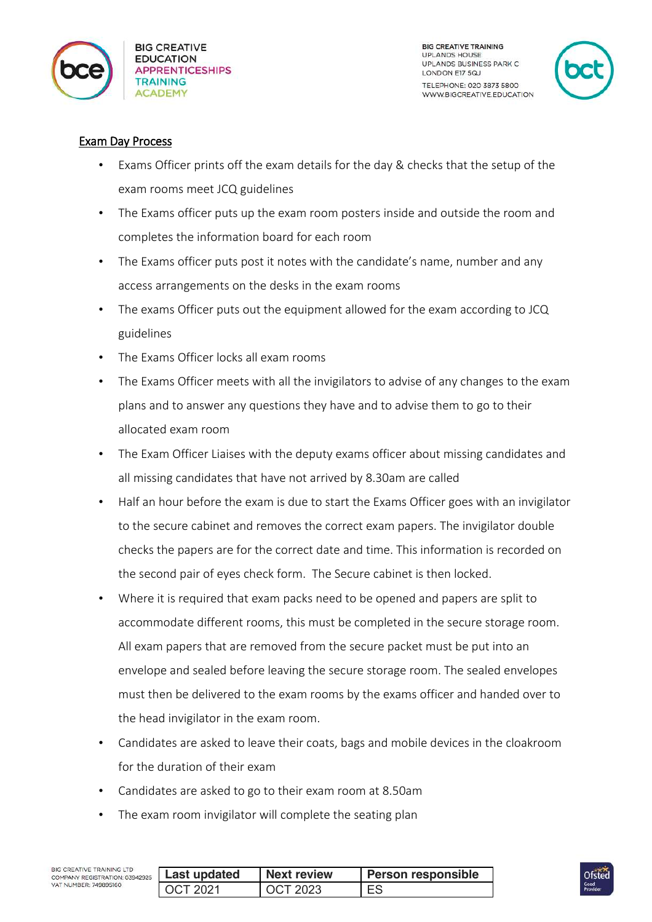



### Exam Day Process

- Exams Officer prints off the exam details for the day & checks that the setup of the exam rooms meet JCQ guidelines
- The Exams officer puts up the exam room posters inside and outside the room and completes the information board for each room
- The Exams officer puts post it notes with the candidate's name, number and any access arrangements on the desks in the exam rooms
- The exams Officer puts out the equipment allowed for the exam according to JCQ guidelines
- The Exams Officer locks all exam rooms
- The Exams Officer meets with all the invigilators to advise of any changes to the exam plans and to answer any questions they have and to advise them to go to their allocated exam room
- The Exam Officer Liaises with the deputy exams officer about missing candidates and all missing candidates that have not arrived by 8.30am are called
- Half an hour before the exam is due to start the Exams Officer goes with an invigilator to the secure cabinet and removes the correct exam papers. The invigilator double checks the papers are for the correct date and time. This information is recorded on the second pair of eyes check form. The Secure cabinet is then locked.
- Where it is required that exam packs need to be opened and papers are split to accommodate different rooms, this must be completed in the secure storage room. All exam papers that are removed from the secure packet must be put into an envelope and sealed before leaving the secure storage room. The sealed envelopes must then be delivered to the exam rooms by the exams officer and handed over to the head invigilator in the exam room.
- Candidates are asked to leave their coats, bags and mobile devices in the cloakroom for the duration of their exam
- Candidates are asked to go to their exam room at 8.50am
- The exam room invigilator will complete the seating plan

| IG CREATIVE TRAINING LTD<br>OMPANY REGISTRATION: 03942925 | <b>Last updated</b> | <b>Next review</b> | <b>Person responsible</b> |
|-----------------------------------------------------------|---------------------|--------------------|---------------------------|
| AT NUMBER: 749895160                                      | OCT 2021            | <b>LOCT 2023</b>   | ES                        |

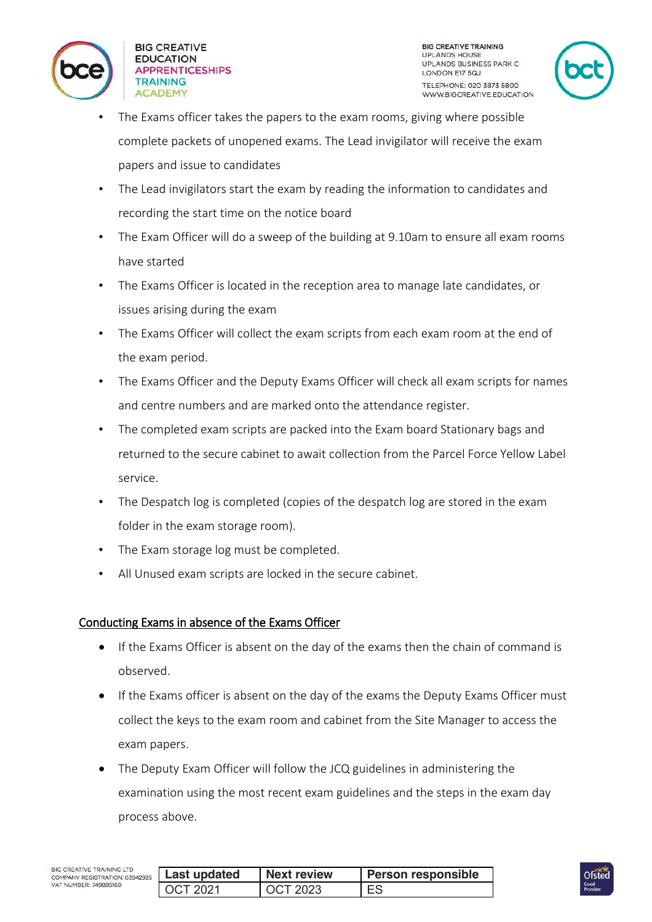





- The Exams officer takes the papers to the exam rooms, giving where possible complete packets of unopened exams. The Lead invigilator will receive the exam papers and issue to candidates
- The Lead invigilators start the exam by reading the information to candidates and recording the start time on the notice board
- The Exam Officer will do a sweep of the building at 9.10am to ensure all exam rooms have started
- The Exams Officer is located in the reception area to manage late candidates, or issues arising during the exam
- The Exams Officer will collect the exam scripts from each exam room at the end of the exam period.
- The Exams Officer and the Deputy Exams Officer will check all exam scripts for names and centre numbers and are marked onto the attendance register.
- The completed exam scripts are packed into the Exam board Stationary bags and returned to the secure cabinet to await collection from the Parcel Force Yellow Label service.
- The Despatch log is completed (copies of the despatch log are stored in the exam folder in the exam storage room).
- The Exam storage log must be completed.
- All Unused exam scripts are locked in the secure cabinet.

## Conducting Exams in absence of the Exams Officer

- If the Exams Officer is absent on the day of the exams then the chain of command is observed.
- If the Exams officer is absent on the day of the exams the Deputy Exams Officer must collect the keys to the exam room and cabinet from the Site Manager to access the exam papers.
- The Deputy Exam Officer will follow the JCQ guidelines in administering the examination using the most recent exam guidelines and the steps in the exam day process above.

| BIG CREATIVE TRAINING LTD<br>COMPANY REGISTRATION: 03942925 | Last updated | <b>Next review</b> | <b>Person responsible</b> |
|-------------------------------------------------------------|--------------|--------------------|---------------------------|
| VAT NUMBER: 749895160                                       | OCT 2021     | OCT 2023           | ES                        |

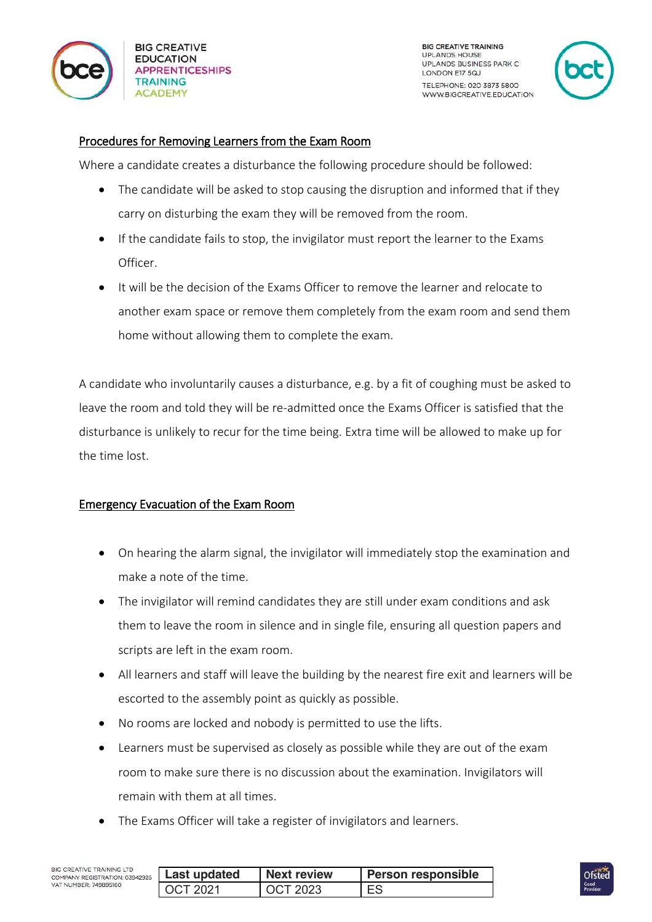



### Procedures for Removing Learners from the Exam Room

Where a candidate creates a disturbance the following procedure should be followed:

- The candidate will be asked to stop causing the disruption and informed that if they carry on disturbing the exam they will be removed from the room.
- If the candidate fails to stop, the invigilator must report the learner to the Exams Officer.
- It will be the decision of the Exams Officer to remove the learner and relocate to another exam space or remove them completely from the exam room and send them home without allowing them to complete the exam.

A candidate who involuntarily causes a disturbance, e.g. by a fit of coughing must be asked to leave the room and told they will be re-admitted once the Exams Officer is satisfied that the disturbance is unlikely to recur for the time being. Extra time will be allowed to make up for the time lost.

### Emergency Evacuation of the Exam Room

- On hearing the alarm signal, the invigilator will immediately stop the examination and make a note of the time.
- The invigilator will remind candidates they are still under exam conditions and ask them to leave the room in silence and in single file, ensuring all question papers and scripts are left in the exam room.
- All learners and staff will leave the building by the nearest fire exit and learners will be escorted to the assembly point as quickly as possible.
- No rooms are locked and nobody is permitted to use the lifts.
- Learners must be supervised as closely as possible while they are out of the exam room to make sure there is no discussion about the examination. Invigilators will remain with them at all times.
- The Exams Officer will take a register of invigilators and learners.

| IG CREATIVE TRAINING LTD<br>OMPANY REGISTRATION: 03942925 | Last updated | Next review     | <b>Person responsible</b> |
|-----------------------------------------------------------|--------------|-----------------|---------------------------|
| AT NUMBER: 749895160                                      | OCT 2021     | <b>CCT 2023</b> | ES                        |

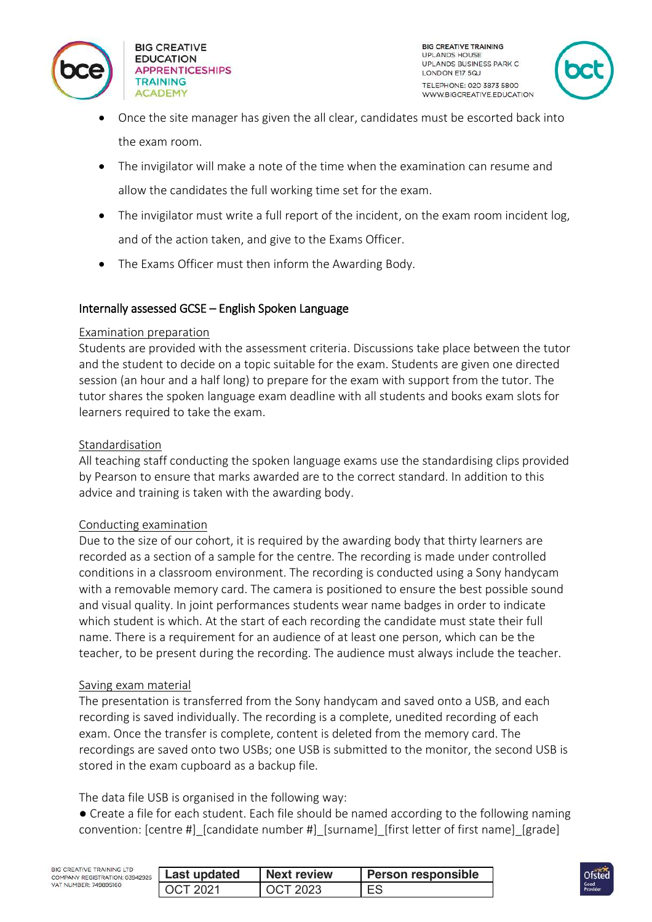





- Once the site manager has given the all clear, candidates must be escorted back into the exam room.
- The invigilator will make a note of the time when the examination can resume and allow the candidates the full working time set for the exam.
- $\bullet$  The invigilator must write a full report of the incident, on the exam room incident log, and of the action taken, and give to the Exams Officer.
- The Exams Officer must then inform the Awarding Body.

## Internally assessed GCSE – English Spoken Language

### Examination preparation

Students are provided with the assessment criteria. Discussions take place between the tutor and the student to decide on a topic suitable for the exam. Students are given one directed session (an hour and a half long) to prepare for the exam with support from the tutor. The tutor shares the spoken language exam deadline with all students and books exam slots for learners required to take the exam.

## Standardisation

All teaching staff conducting the spoken language exams use the standardising clips provided by Pearson to ensure that marks awarded are to the correct standard. In addition to this advice and training is taken with the awarding body.

## Conducting examination

Due to the size of our cohort, it is required by the awarding body that thirty learners are recorded as a section of a sample for the centre. The recording is made under controlled conditions in a classroom environment. The recording is conducted using a Sony handycam with a removable memory card. The camera is positioned to ensure the best possible sound and visual quality. In joint performances students wear name badges in order to indicate which student is which. At the start of each recording the candidate must state their full name. There is a requirement for an audience of at least one person, which can be the teacher, to be present during the recording. The audience must always include the teacher.

## Saving exam material

The presentation is transferred from the Sony handycam and saved onto a USB, and each recording is saved individually. The recording is a complete, unedited recording of each exam. Once the transfer is complete, content is deleted from the memory card. The recordings are saved onto two USBs; one USB is submitted to the monitor, the second USB is stored in the exam cupboard as a backup file.

The data file USB is organised in the following way:

● Create a file for each student. Each file should be named according to the following naming convention: [centre #]\_[candidate number #]\_[surname]\_[first letter of first name]\_[grade]

| <b>ING LTD</b><br>TION: 03942925 | <b>Last updated</b> | <b>Next review</b> | <b>Person responsible</b> |
|----------------------------------|---------------------|--------------------|---------------------------|
| 5160                             | OCT 2021            | OCT 2023           | FS                        |

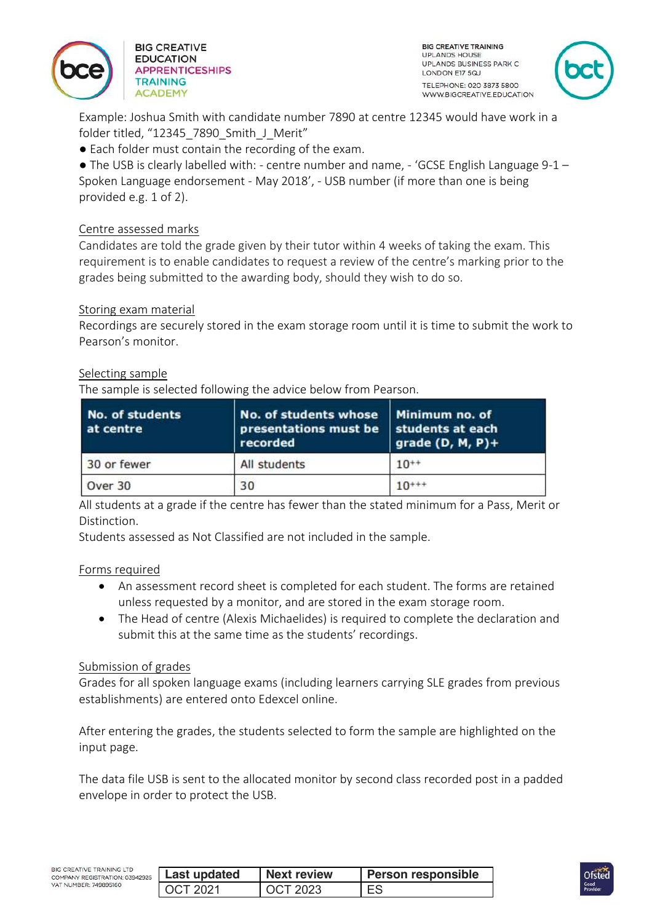



Example: Joshua Smith with candidate number 7890 at centre 12345 would have work in a folder titled, "12345 7890 Smith J Merit"

● Each folder must contain the recording of the exam.

 $\bullet$  The USB is clearly labelled with: - centre number and name, - 'GCSE English Language 9-1 – Spoken Language endorsement - May 2018', - USB number (if more than one is being provided e.g. 1 of 2).

### Centre assessed marks

Candidates are told the grade given by their tutor within 4 weeks of taking the exam. This requirement is to enable candidates to request a review of the centre's marking prior to the grades being submitted to the awarding body, should they wish to do so.

### Storing exam material

Recordings are securely stored in the exam storage room until it is time to submit the work to Pearson's monitor.

### Selecting sample

The sample is selected following the advice below from Pearson.

| No. of students<br>at centre | No. of students whose   Minimum no. of<br>presentations must be<br>recorded | students at each<br>grade $(D, M, P)$ + |
|------------------------------|-----------------------------------------------------------------------------|-----------------------------------------|
| 30 or fewer                  | All students                                                                | $10^{++}$                               |
| Over 30                      | 30                                                                          | $10^{+++}$                              |

 All students at a grade if the centre has fewer than the stated minimum for a Pass, Merit or Distinction.

Students assessed as Not Classified are not included in the sample.

#### Forms required

- An assessment record sheet is completed for each student. The forms are retained unless requested by a monitor, and are stored in the exam storage room.
- The Head of centre (Alexis Michaelides) is required to complete the declaration and submit this at the same time as the students' recordings.

### Submission of grades

Grades for all spoken language exams (including learners carrying SLE grades from previous establishments) are entered onto Edexcel online.

After entering the grades, the students selected to form the sample are highlighted on the input page.

The data file USB is sent to the allocated monitor by second class recorded post in a padded envelope in order to protect the USB.

| BIG CREATIVE TRAINING LTD<br>COMPANY REGISTRATION: 03942925 | <b>Last updated</b> | Ne: |
|-------------------------------------------------------------|---------------------|-----|
| VAT NUMBER: 749895160                                       | <b>OCT 2021</b>     |     |

| Last updated | <b>Next review</b> | <b>Person responsible</b> |
|--------------|--------------------|---------------------------|
| OCT 2021     | OCT 2023           | FS                        |

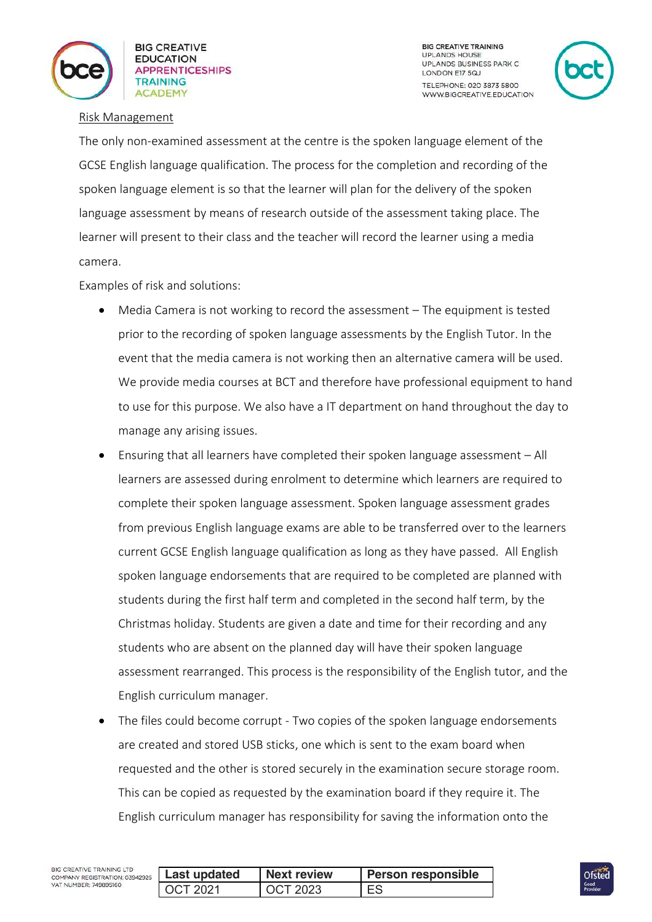



#### Risk Management

The only non-examined assessment at the centre is the spoken language element of the GCSE English language qualification. The process for the completion and recording of the spoken language element is so that the learner will plan for the delivery of the spoken language assessment by means of research outside of the assessment taking place. The learner will present to their class and the teacher will record the learner using a media camera.

Examples of risk and solutions:

- Media Camera is not working to record the assessment The equipment is tested prior to the recording of spoken language assessments by the English Tutor. In the event that the media camera is not working then an alternative camera will be used. We provide media courses at BCT and therefore have professional equipment to hand to use for this purpose. We also have a IT department on hand throughout the day to manage any arising issues.
- Ensuring that all learners have completed their spoken language assessment All learners are assessed during enrolment to determine which learners are required to complete their spoken language assessment. Spoken language assessment grades from previous English language exams are able to be transferred over to the learners current GCSE English language qualification as long as they have passed. All English spoken language endorsements that are required to be completed are planned with students during the first half term and completed in the second half term, by the Christmas holiday. Students are given a date and time for their recording and any students who are absent on the planned day will have their spoken language assessment rearranged. This process is the responsibility of the English tutor, and the English curriculum manager.
- The files could become corrupt Two copies of the spoken language endorsements are created and stored USB sticks, one which is sent to the exam board when requested and the other is stored securely in the examination secure storage room. This can be copied as requested by the examination board if they require it. The English curriculum manager has responsibility for saving the information onto the

| BIG CREATIVE TRAINING LTD     |
|-------------------------------|
| COMPANY REGISTRATION: 0394292 |
| VAT NUMBER: 749895160         |
|                               |

| 2925 | <b>Last updated</b> | <b>Next review</b> | <b>Person responsible</b> |
|------|---------------------|--------------------|---------------------------|
|      | $\bigcap$ CT 2021   | OCT 2023           | F۶                        |

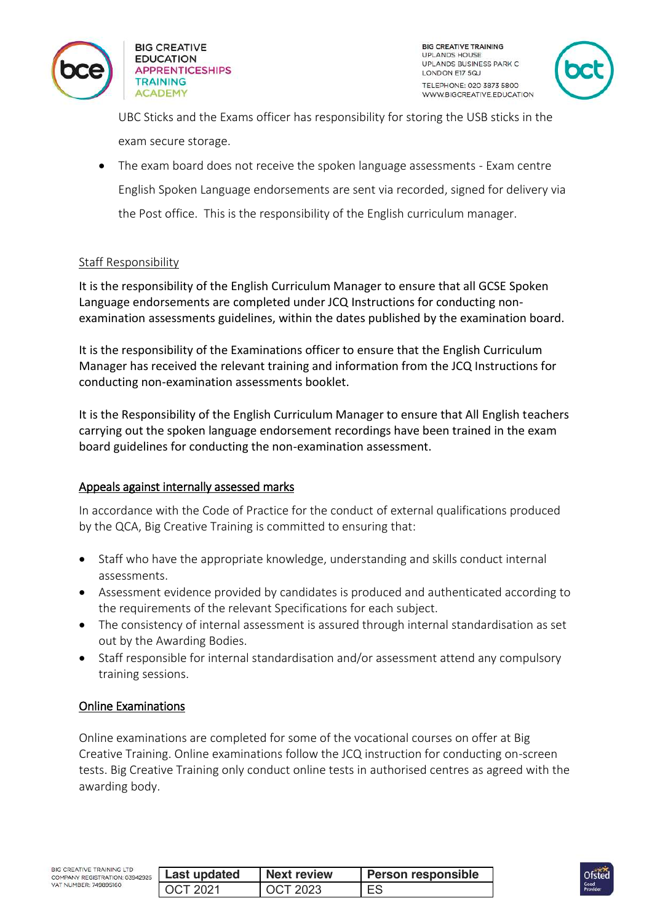



UBC Sticks and the Exams officer has responsibility for storing the USB sticks in the exam secure storage.

• The exam board does not receive the spoken language assessments - Exam centre English Spoken Language endorsements are sent via recorded, signed for delivery via the Post office. This is the responsibility of the English curriculum manager.

### Staff Responsibility

It is the responsibility of the English Curriculum Manager to ensure that all GCSE Spoken Language endorsements are completed under JCQ Instructions for conducting nonexamination assessments guidelines, within the dates published by the examination board.

It is the responsibility of the Examinations officer to ensure that the English Curriculum Manager has received the relevant training and information from the JCQ Instructions for conducting non-examination assessments booklet.

It is the Responsibility of the English Curriculum Manager to ensure that All English teachers carrying out the spoken language endorsement recordings have been trained in the exam board guidelines for conducting the non-examination assessment.

### Appeals against internally assessed marks

In accordance with the Code of Practice for the conduct of external qualifications produced by the QCA, Big Creative Training is committed to ensuring that:

- Staff who have the appropriate knowledge, understanding and skills conduct internal assessments.
- Assessment evidence provided by candidates is produced and authenticated according to the requirements of the relevant Specifications for each subject.
- The consistency of internal assessment is assured through internal standardisation as set out by the Awarding Bodies.
- Staff responsible for internal standardisation and/or assessment attend any compulsory training sessions.

### Online Examinations

Online examinations are completed for some of the vocational courses on offer at Big Creative Training. Online examinations follow the JCQ instruction for conducting on-screen tests. Big Creative Training only conduct online tests in authorised centres as agreed with the awarding body.

| 925 | <b>Last updated</b> | <b>Next review</b> | <b>Person responsible</b> |
|-----|---------------------|--------------------|---------------------------|
|     | LOCT 2021           | COCT 2023          | F.S                       |

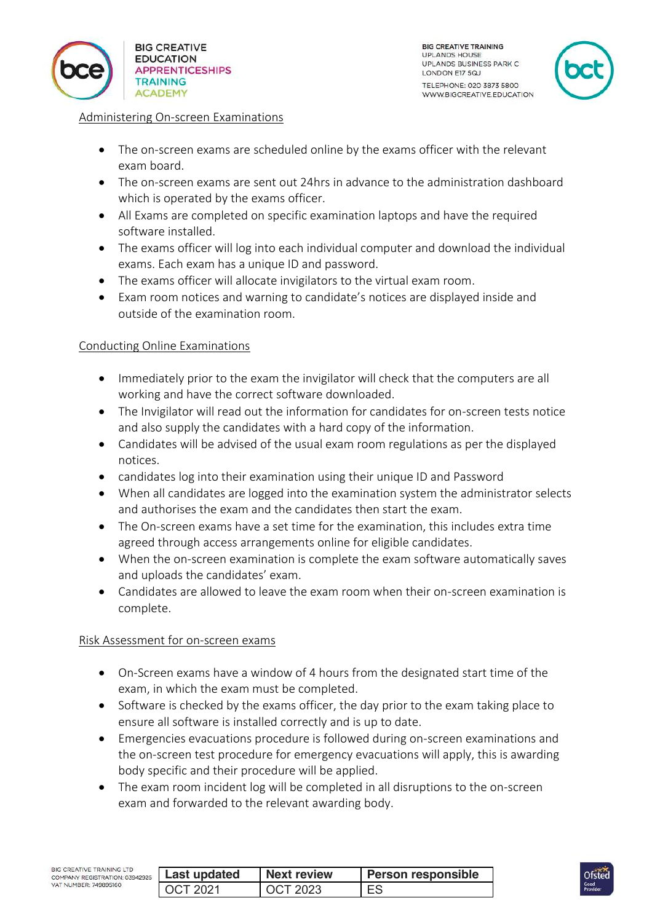



#### Administering On-screen Examinations

- The on-screen exams are scheduled online by the exams officer with the relevant exam board.
- The on-screen exams are sent out 24hrs in advance to the administration dashboard which is operated by the exams officer.
- All Exams are completed on specific examination laptops and have the required software installed.
- The exams officer will log into each individual computer and download the individual exams. Each exam has a unique ID and password.
- The exams officer will allocate invigilators to the virtual exam room.
- Exam room notices and warning to candidate's notices are displayed inside and outside of the examination room.

### Conducting Online Examinations

- Immediately prior to the exam the invigilator will check that the computers are all working and have the correct software downloaded.
- The Invigilator will read out the information for candidates for on-screen tests notice and also supply the candidates with a hard copy of the information.
- Candidates will be advised of the usual exam room regulations as per the displayed notices.
- candidates log into their examination using their unique ID and Password
- When all candidates are logged into the examination system the administrator selects and authorises the exam and the candidates then start the exam.
- The On-screen exams have a set time for the examination, this includes extra time agreed through access arrangements online for eligible candidates.
- When the on-screen examination is complete the exam software automatically saves and uploads the candidates' exam.
- Candidates are allowed to leave the exam room when their on-screen examination is complete.

### Risk Assessment for on-screen exams

- On-Screen exams have a window of 4 hours from the designated start time of the exam, in which the exam must be completed.
- Software is checked by the exams officer, the day prior to the exam taking place to ensure all software is installed correctly and is up to date.
- Emergencies evacuations procedure is followed during on-screen examinations and the on-screen test procedure for emergency evacuations will apply, this is awarding body specific and their procedure will be applied.
- The exam room incident log will be completed in all disruptions to the on-screen exam and forwarded to the relevant awarding body.

| 03942925 | <b>Last updated</b> | <b>Next review</b> | <b>Person responsible</b> |
|----------|---------------------|--------------------|---------------------------|
|          | OCT 2021            | OCT 2023           | FS                        |

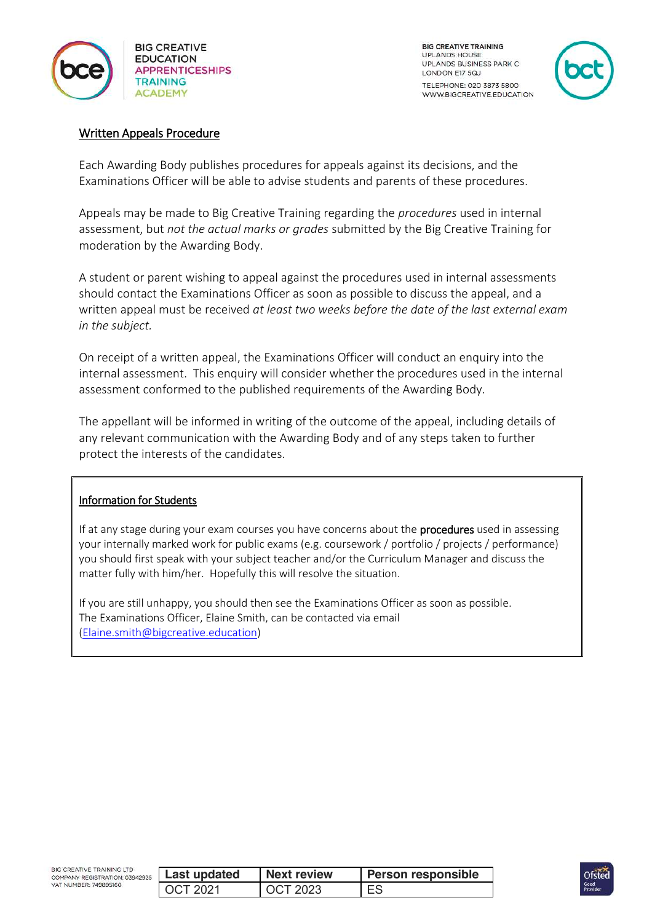



### Written Appeals Procedure

Each Awarding Body publishes procedures for appeals against its decisions, and the Examinations Officer will be able to advise students and parents of these procedures.

Appeals may be made to Big Creative Training regarding the *procedures* used in internal assessment, but *not the actual marks or grades* submitted by the Big Creative Training for moderation by the Awarding Body.

A student or parent wishing to appeal against the procedures used in internal assessments should contact the Examinations Officer as soon as possible to discuss the appeal, and a written appeal must be received *at least two weeks before the date of the last external exam in the subject.*

On receipt of a written appeal, the Examinations Officer will conduct an enquiry into the internal assessment. This enquiry will consider whether the procedures used in the internal assessment conformed to the published requirements of the Awarding Body.

The appellant will be informed in writing of the outcome of the appeal, including details of any relevant communication with the Awarding Body and of any steps taken to further protect the interests of the candidates.

#### Information for Students

If at any stage during your exam courses you have concerns about the **procedures** used in assessing your internally marked work for public exams (e.g. coursework / portfolio / projects / performance) you should first speak with your subject teacher and/or the Curriculum Manager and discuss the matter fully with him/her. Hopefully this will resolve the situation.

If you are still unhappy, you should then see the Examinations Officer as soon as possible. The Examinations Officer, Elaine Smith, can be contacted via email [\(Elaine.smith@bigcreative.education\)](mailto:Elaine.smith@bigcreative.education)

| BIG CREATIVE TRAINING LTD<br>COMPANY REGISTRATION: 03942925<br>VAT NUMBER: 749895160 | Last updated | <b>Next review</b> | <b>Person responsible</b> |
|--------------------------------------------------------------------------------------|--------------|--------------------|---------------------------|
|                                                                                      | OCT 2021     | OCT 2023           | ES                        |